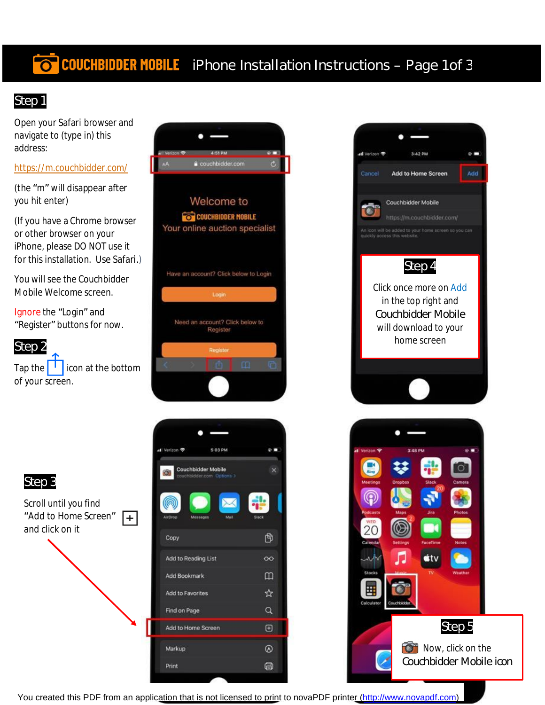# **TO COUCHBIDDER MOBILE** iPhone Installation Instructions – Page 1 of 3

## Step 1

Open your Safari browser and navigate to (type in) this address:

#### <https://m.couchbidder.com/>

(the "m" will disappear after you hit enter)

(If you have a Chrome browser or other browser on your iPhone, please DO NOT use it for this installation. Use Safari.)

You will see the Couchbidder Mobile Welcome screen.

Ignore the "Login" and "Register" buttons for now.

#### Step 2

Step 3

Scroll until you find "Add to Home Screen"

 $+$ 

and click on it

Tap the  $\vert \cdot \vert$  icon at the bottom of your screen.







You created this PDF from an application that is not licensed to print to novaPDF printer ([http://www.novapdf.com\)](http://www.novapdf.com/)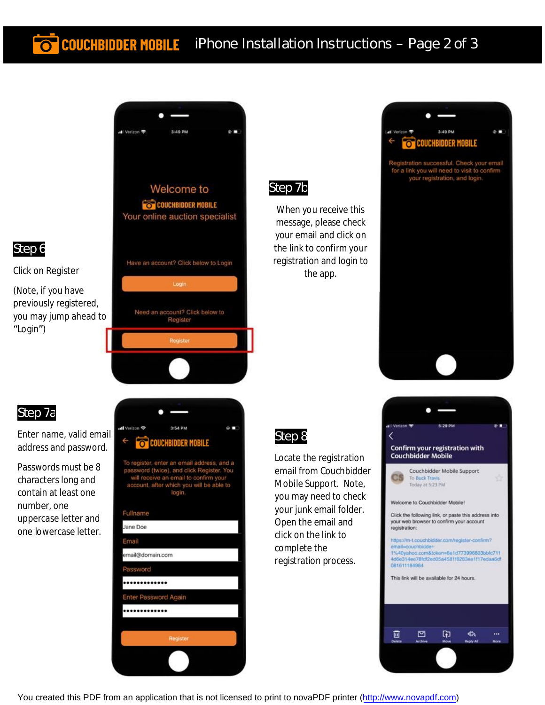## **COUCHBIDDER MOBILE** iPhone Installation Instructions - Page 2 of 3



#### Step 7b

When you receive this message, please check your email and click on the link to confirm your registration and login to the app.



stration successful. Check your email for a link you will need to visit to confirm<br>your registration, and login.



#### Step 7a

Step 6

"Login")

Click on Register

(Note, if you have previously registered, you may jump ahead to

Enter name, valid email address and password.

Passwords must be 8 characters long and contain at least one number, one uppercase letter and one lowercase letter.



To register, enter an email address, and a<br>password (twice), and click Register. You<br>will receive an email to confirm your<br>account, after which you will be able to<br>login.

## Fullname



## Step 8

Locate the registration email from Couchbidder Mobile Support. Note, you may need to check your junk email folder. Open the email and click on the link to complete the registration process.



You created this PDF from an application that is not licensed to print to novaPDF printer ([http://www.novapdf.com\)](http://www.novapdf.com/)